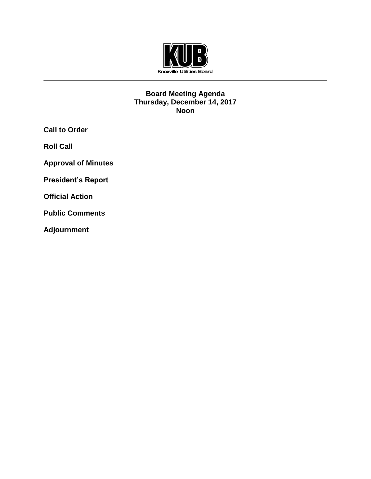

#### **Board Meeting Agenda Thursday, December 14, 2017 Noon**

**Call to Order**

**Roll Call**

**Approval of Minutes**

**President's Report**

**Official Action** 

**Public Comments**

**Adjournment**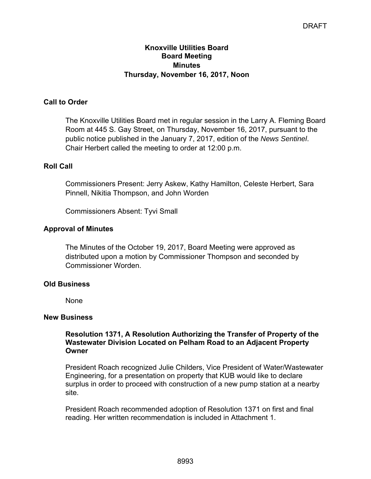# **Knoxville Utilities Board Board Meeting Minutes Thursday, November 16, 2017, Noon**

# **Call to Order**

The Knoxville Utilities Board met in regular session in the Larry A. Fleming Board Room at 445 S. Gay Street, on Thursday, November 16, 2017, pursuant to the public notice published in the January 7, 2017, edition of the *News Sentinel*. Chair Herbert called the meeting to order at 12:00 p.m.

# **Roll Call**

Commissioners Present: Jerry Askew, Kathy Hamilton, Celeste Herbert, Sara Pinnell, Nikitia Thompson, and John Worden

Commissioners Absent: Tyvi Small

# **Approval of Minutes**

The Minutes of the October 19, 2017, Board Meeting were approved as distributed upon a motion by Commissioner Thompson and seconded by Commissioner Worden.

# **Old Business**

None

#### **New Business**

**Resolution 1371, A Resolution Authorizing the Transfer of Property of the Wastewater Division Located on Pelham Road to an Adjacent Property Owner**

President Roach recognized Julie Childers, Vice President of Water/Wastewater Engineering, for a presentation on property that KUB would like to declare surplus in order to proceed with construction of a new pump station at a nearby site.

President Roach recommended adoption of Resolution 1371 on first and final reading. Her written recommendation is included in Attachment 1.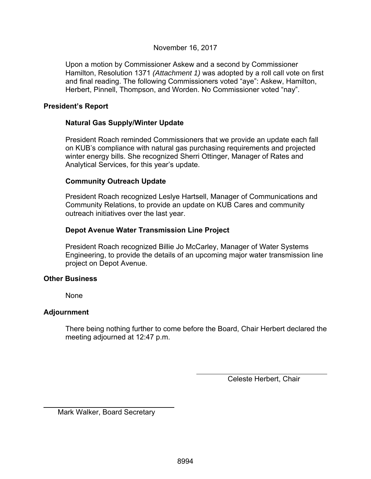# November 16, 2017

Upon a motion by Commissioner Askew and a second by Commissioner Hamilton, Resolution 1371 *(Attachment 1)* was adopted by a roll call vote on first and final reading. The following Commissioners voted "aye": Askew, Hamilton, Herbert, Pinnell, Thompson, and Worden. No Commissioner voted "nay".

# **President's Report**

# **Natural Gas Supply/Winter Update**

President Roach reminded Commissioners that we provide an update each fall on KUB's compliance with natural gas purchasing requirements and projected winter energy bills. She recognized Sherri Ottinger, Manager of Rates and Analytical Services, for this year's update.

# **Community Outreach Update**

President Roach recognized Leslye Hartsell, Manager of Communications and Community Relations, to provide an update on KUB Cares and community outreach initiatives over the last year.

# **Depot Avenue Water Transmission Line Project**

President Roach recognized Billie Jo McCarley, Manager of Water Systems Engineering, to provide the details of an upcoming major water transmission line project on Depot Avenue.

# **Other Business**

None

# **Adjournment**

 $\overline{a}$ 

There being nothing further to come before the Board, Chair Herbert declared the meeting adjourned at 12:47 p.m.

Celeste Herbert, Chair

Mark Walker, Board Secretary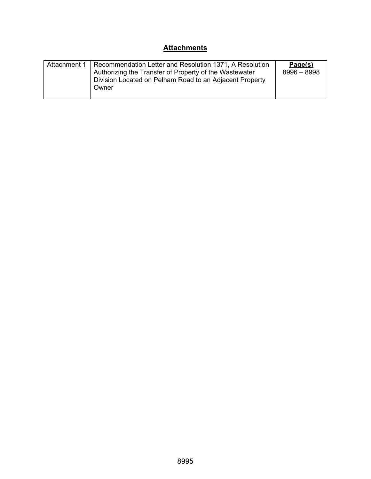# **Attachments**

| Attachment 1 | Recommendation Letter and Resolution 1371, A Resolution<br>Authorizing the Transfer of Property of the Wastewater<br>Division Located on Pelham Road to an Adjacent Property<br>Owner | Page(s)<br>$8996 - 8998$ |
|--------------|---------------------------------------------------------------------------------------------------------------------------------------------------------------------------------------|--------------------------|
|--------------|---------------------------------------------------------------------------------------------------------------------------------------------------------------------------------------|--------------------------|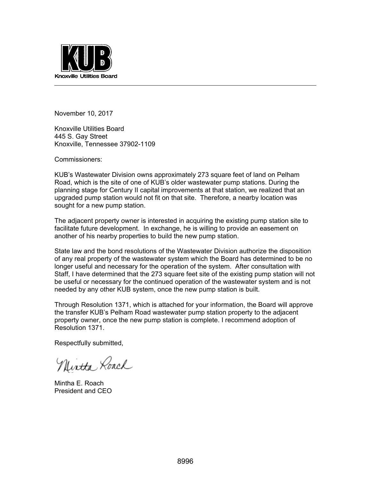

November 10, 2017

Knoxville Utilities Board 445 S. Gay Street Knoxville, Tennessee 37902-1109

Commissioners:

KUB's Wastewater Division owns approximately 273 square feet of land on Pelham Road, which is the site of one of KUB's older wastewater pump stations. During the planning stage for Century II capital improvements at that station, we realized that an upgraded pump station would not fit on that site. Therefore, a nearby location was sought for a new pump station.

The adjacent property owner is interested in acquiring the existing pump station site to facilitate future development. In exchange, he is willing to provide an easement on another of his nearby properties to build the new pump station.

State law and the bond resolutions of the Wastewater Division authorize the disposition of any real property of the wastewater system which the Board has determined to be no longer useful and necessary for the operation of the system. After consultation with Staff, I have determined that the 273 square feet site of the existing pump station will not be useful or necessary for the continued operation of the wastewater system and is not needed by any other KUB system, once the new pump station is built.

Through Resolution 1371, which is attached for your information, the Board will approve the transfer KUB's Pelham Road wastewater pump station property to the adjacent property owner, once the new pump station is complete. I recommend adoption of Resolution 1371.

Respectfully submitted,

Nintha Roach

Mintha E. Roach President and CEO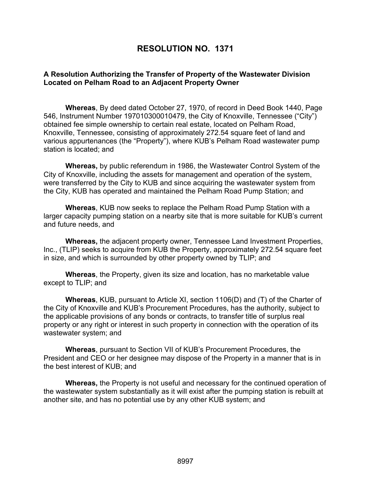# **RESOLUTION NO. 1371**

# **A Resolution Authorizing the Transfer of Property of the Wastewater Division Located on Pelham Road to an Adjacent Property Owner**

**Whereas**, By deed dated October 27, 1970, of record in Deed Book 1440, Page 546, Instrument Number 197010300010479, the City of Knoxville, Tennessee ("City") obtained fee simple ownership to certain real estate, located on Pelham Road, Knoxville, Tennessee, consisting of approximately 272.54 square feet of land and various appurtenances (the "Property"), where KUB's Pelham Road wastewater pump station is located; and

**Whereas,** by public referendum in 1986, the Wastewater Control System of the City of Knoxville, including the assets for management and operation of the system, were transferred by the City to KUB and since acquiring the wastewater system from the City, KUB has operated and maintained the Pelham Road Pump Station; and

**Whereas**, KUB now seeks to replace the Pelham Road Pump Station with a larger capacity pumping station on a nearby site that is more suitable for KUB's current and future needs, and

**Whereas,** the adjacent property owner, Tennessee Land Investment Properties, Inc., (TLIP) seeks to acquire from KUB the Property, approximately 272.54 square feet in size, and which is surrounded by other property owned by TLIP; and

**Whereas**, the Property, given its size and location, has no marketable value except to TLIP; and

**Whereas**, KUB, pursuant to Article XI, section 1106(D) and (T) of the Charter of the City of Knoxville and KUB's Procurement Procedures, has the authority, subject to the applicable provisions of any bonds or contracts, to transfer title of surplus real property or any right or interest in such property in connection with the operation of its wastewater system; and

**Whereas**, pursuant to Section VII of KUB's Procurement Procedures, the President and CEO or her designee may dispose of the Property in a manner that is in the best interest of KUB; and

**Whereas,** the Property is not useful and necessary for the continued operation of the wastewater system substantially as it will exist after the pumping station is rebuilt at another site, and has no potential use by any other KUB system; and